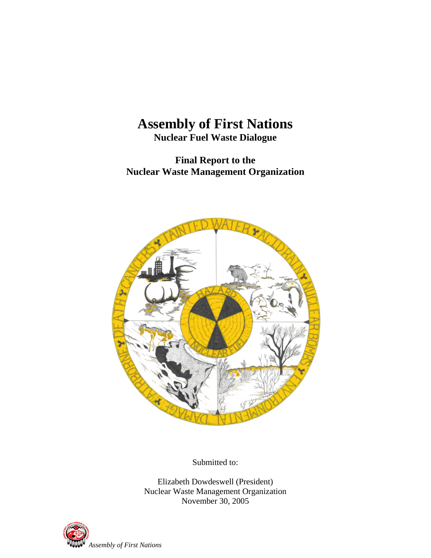# **Assembly of First Nations**

**Nuclear Fuel Waste Dialogue** 

**Final Report to the Nuclear Waste Management Organization** 



Submitted to:

Elizabeth Dowdeswell (President) Nuclear Waste Management Organization November 30, 2005

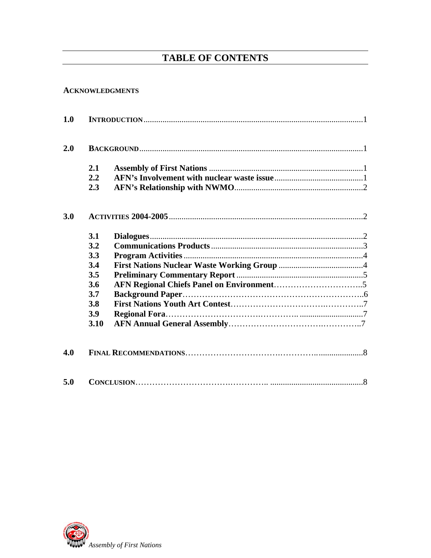# **TABLE OF CONTENTS**

#### **ACKNOWLEDGMENTS**

| 1.0 |            |  |  |
|-----|------------|--|--|
| 2.0 |            |  |  |
|     | 2.1        |  |  |
|     | 2.2        |  |  |
|     | 2.3        |  |  |
| 3.0 |            |  |  |
|     | 3.1        |  |  |
|     | 3.2        |  |  |
|     | 3.3        |  |  |
|     | 3.4        |  |  |
|     | 3.5        |  |  |
|     | 3.6        |  |  |
|     | 3.7        |  |  |
|     | <b>3.8</b> |  |  |
|     | 3.9        |  |  |
|     | 3.10       |  |  |
| 4.0 |            |  |  |
| 5.0 |            |  |  |

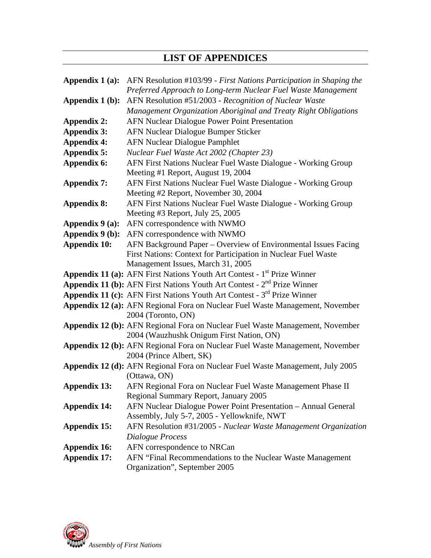# **LIST OF APPENDICES**

| Appendix 1 (a):     | AFN Resolution #103/99 - First Nations Participation in Shaping the                                  |
|---------------------|------------------------------------------------------------------------------------------------------|
|                     | Preferred Approach to Long-term Nuclear Fuel Waste Management                                        |
| Appendix 1 (b):     | AFN Resolution #51/2003 - Recognition of Nuclear Waste                                               |
|                     | Management Organization Aboriginal and Treaty Right Obligations                                      |
| <b>Appendix 2:</b>  | <b>AFN Nuclear Dialogue Power Point Presentation</b>                                                 |
| <b>Appendix 3:</b>  | AFN Nuclear Dialogue Bumper Sticker                                                                  |
| <b>Appendix 4:</b>  | <b>AFN Nuclear Dialogue Pamphlet</b>                                                                 |
| <b>Appendix 5:</b>  | Nuclear Fuel Waste Act 2002 (Chapter 23)                                                             |
| Appendix 6:         | AFN First Nations Nuclear Fuel Waste Dialogue - Working Group                                        |
|                     | Meeting #1 Report, August 19, 2004                                                                   |
| <b>Appendix 7:</b>  | AFN First Nations Nuclear Fuel Waste Dialogue - Working Group                                        |
|                     | Meeting #2 Report, November 30, 2004                                                                 |
| <b>Appendix 8:</b>  | AFN First Nations Nuclear Fuel Waste Dialogue - Working Group                                        |
|                     | Meeting #3 Report, July 25, 2005                                                                     |
| Appendix 9 (a):     | AFN correspondence with NWMO                                                                         |
| Appendix 9 (b):     | AFN correspondence with NWMO                                                                         |
| <b>Appendix 10:</b> | AFN Background Paper – Overview of Environmental Issues Facing                                       |
|                     | First Nations: Context for Participation in Nuclear Fuel Waste                                       |
|                     | Management Issues, March 31, 2005                                                                    |
|                     | Appendix 11 (a): AFN First Nations Youth Art Contest - 1 <sup>st</sup> Prize Winner                  |
|                     | <b>Appendix 11 (b):</b> AFN First Nations Youth Art Contest - $2nd$ Prize Winner                     |
|                     | Appendix 11 (c): AFN First Nations Youth Art Contest - 3 <sup>rd</sup> Prize Winner                  |
|                     | Appendix 12 (a): AFN Regional Fora on Nuclear Fuel Waste Management, November                        |
|                     | 2004 (Toronto, ON)                                                                                   |
|                     | Appendix 12 (b): AFN Regional Fora on Nuclear Fuel Waste Management, November                        |
|                     | 2004 (Wauzhushk Onigum First Nation, ON)                                                             |
|                     | Appendix 12 (b): AFN Regional Fora on Nuclear Fuel Waste Management, November                        |
|                     | 2004 (Prince Albert, SK)                                                                             |
|                     | Appendix 12 (d): AFN Regional Fora on Nuclear Fuel Waste Management, July 2005                       |
|                     | (Ottawa, ON)                                                                                         |
| Appendix 13:        | AFN Regional Fora on Nuclear Fuel Waste Management Phase II<br>Regional Summary Report, January 2005 |
| <b>Appendix 14:</b> | AFN Nuclear Dialogue Power Point Presentation - Annual General                                       |
|                     | Assembly, July 5-7, 2005 - Yellowknife, NWT                                                          |
| <b>Appendix 15:</b> | AFN Resolution #31/2005 - Nuclear Waste Management Organization                                      |
|                     | Dialogue Process                                                                                     |
| <b>Appendix 16:</b> | AFN correspondence to NRCan                                                                          |
| <b>Appendix 17:</b> | AFN "Final Recommendations to the Nuclear Waste Management                                           |
|                     | Organization", September 2005                                                                        |
|                     |                                                                                                      |

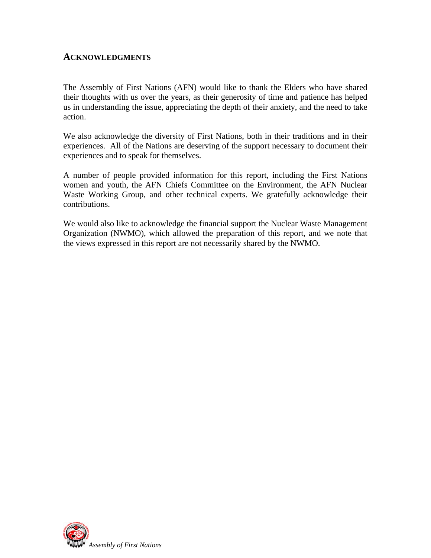#### **ACKNOWLEDGMENTS**

The Assembly of First Nations (AFN) would like to thank the Elders who have shared their thoughts with us over the years, as their generosity of time and patience has helped us in understanding the issue, appreciating the depth of their anxiety, and the need to take action.

We also acknowledge the diversity of First Nations, both in their traditions and in their experiences. All of the Nations are deserving of the support necessary to document their experiences and to speak for themselves.

A number of people provided information for this report, including the First Nations women and youth, the AFN Chiefs Committee on the Environment, the AFN Nuclear Waste Working Group, and other technical experts. We gratefully acknowledge their contributions.

We would also like to acknowledge the financial support the Nuclear Waste Management Organization (NWMO), which allowed the preparation of this report, and we note that the views expressed in this report are not necessarily shared by the NWMO.

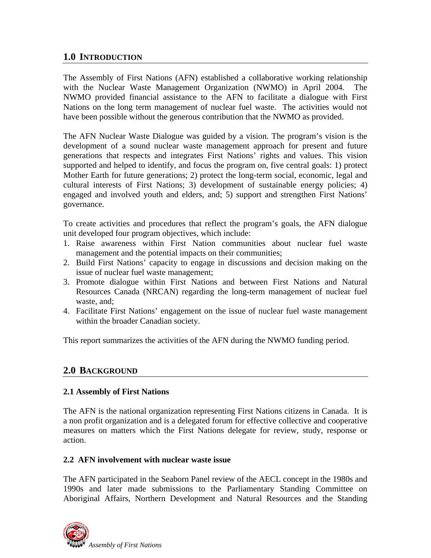## **1.0 INTRODUCTION**

The Assembly of First Nations (AFN) established a collaborative working relationship with the Nuclear Waste Management Organization (NWMO) in April 2004. The NWMO provided financial assistance to the AFN to facilitate a dialogue with First Nations on the long term management of nuclear fuel waste. The activities would not have been possible without the generous contribution that the NWMO as provided.

The AFN Nuclear Waste Dialogue was guided by a vision. The program's vision is the development of a sound nuclear waste management approach for present and future generations that respects and integrates First Nations' rights and values. This vision supported and helped to identify, and focus the program on, five central goals: 1) protect Mother Earth for future generations; 2) protect the long-term social, economic, legal and cultural interests of First Nations; 3) development of sustainable energy policies; 4) engaged and involved youth and elders, and; 5) support and strengthen First Nations' governance.

To create activities and procedures that reflect the program's goals, the AFN dialogue unit developed four program objectives, which include:

- 1. Raise awareness within First Nation communities about nuclear fuel waste management and the potential impacts on their communities;
- 2. Build First Nations' capacity to engage in discussions and decision making on the issue of nuclear fuel waste management;
- 3. Promote dialogue within First Nations and between First Nations and Natural Resources Canada (NRCAN) regarding the long-term management of nuclear fuel waste, and;
- 4. Facilitate First Nations' engagement on the issue of nuclear fuel waste management within the broader Canadian society.

This report summarizes the activities of the AFN during the NWMO funding period.

## **2.0 BACKGROUND**

#### **2.1 Assembly of First Nations**

The AFN is the national organization representing First Nations citizens in Canada. It is a non profit organization and is a delegated forum for effective collective and cooperative measures on matters which the First Nations delegate for review, study, response or action.

#### **2.2 AFN involvement with nuclear waste issue**

The AFN participated in the Seaborn Panel review of the AECL concept in the 1980s and 1990s and later made submissions to the Parliamentary Standing Committee on Aboriginal Affairs, Northern Development and Natural Resources and the Standing

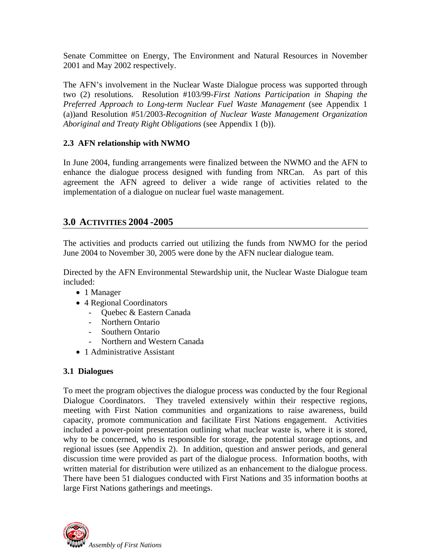Senate Committee on Energy, The Environment and Natural Resources in November 2001 and May 2002 respectively.

The AFN's involvement in the Nuclear Waste Dialogue process was supported through two (2) resolutions. Resolution #103/99-*First Nations Participation in Shaping the Preferred Approach to Long-term Nuclear Fuel Waste Management* (see Appendix 1 (a))and Resolution #51/2003-*Recognition of Nuclear Waste Management Organization Aboriginal and Treaty Right Obligations* (see Appendix 1 (b)).

#### **2.3 AFN relationship with NWMO**

In June 2004, funding arrangements were finalized between the NWMO and the AFN to enhance the dialogue process designed with funding from NRCan. As part of this agreement the AFN agreed to deliver a wide range of activities related to the implementation of a dialogue on nuclear fuel waste management.

# **3.0 ACTIVITIES 2004 -2005**

The activities and products carried out utilizing the funds from NWMO for the period June 2004 to November 30, 2005 were done by the AFN nuclear dialogue team.

Directed by the AFN Environmental Stewardship unit, the Nuclear Waste Dialogue team included:

- 1 Manager
- 4 Regional Coordinators
	- Quebec & Eastern Canada
	- Northern Ontario
	- Southern Ontario
	- Northern and Western Canada
- 1 Administrative Assistant

#### **3.1 Dialogues**

To meet the program objectives the dialogue process was conducted by the four Regional Dialogue Coordinators. They traveled extensively within their respective regions, meeting with First Nation communities and organizations to raise awareness, build capacity, promote communication and facilitate First Nations engagement. Activities included a power-point presentation outlining what nuclear waste is, where it is stored, why to be concerned, who is responsible for storage, the potential storage options, and regional issues (see Appendix 2). In addition, question and answer periods, and general discussion time were provided as part of the dialogue process. Information booths, with written material for distribution were utilized as an enhancement to the dialogue process. There have been 51 dialogues conducted with First Nations and 35 information booths at large First Nations gatherings and meetings.

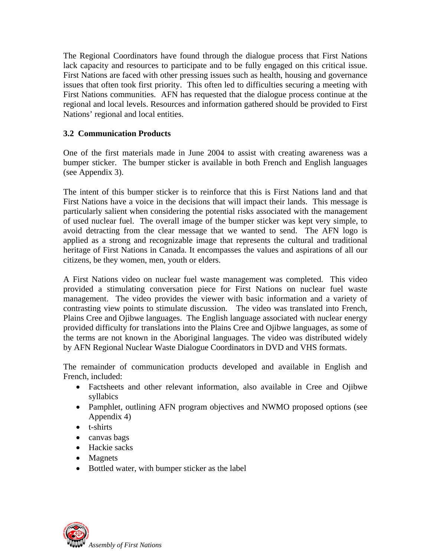The Regional Coordinators have found through the dialogue process that First Nations lack capacity and resources to participate and to be fully engaged on this critical issue. First Nations are faced with other pressing issues such as health, housing and governance issues that often took first priority. This often led to difficulties securing a meeting with First Nations communities. AFN has requested that the dialogue process continue at the regional and local levels. Resources and information gathered should be provided to First Nations' regional and local entities.

#### **3.2 Communication Products**

One of the first materials made in June 2004 to assist with creating awareness was a bumper sticker. The bumper sticker is available in both French and English languages (see Appendix 3).

The intent of this bumper sticker is to reinforce that this is First Nations land and that First Nations have a voice in the decisions that will impact their lands. This message is particularly salient when considering the potential risks associated with the management of used nuclear fuel. The overall image of the bumper sticker was kept very simple, to avoid detracting from the clear message that we wanted to send. The AFN logo is applied as a strong and recognizable image that represents the cultural and traditional heritage of First Nations in Canada. It encompasses the values and aspirations of all our citizens, be they women, men, youth or elders.

A First Nations video on nuclear fuel waste management was completed. This video provided a stimulating conversation piece for First Nations on nuclear fuel waste management. The video provides the viewer with basic information and a variety of contrasting view points to stimulate discussion. The video was translated into French, Plains Cree and Ojibwe languages. The English language associated with nuclear energy provided difficulty for translations into the Plains Cree and Ojibwe languages, as some of the terms are not known in the Aboriginal languages. The video was distributed widely by AFN Regional Nuclear Waste Dialogue Coordinators in DVD and VHS formats.

The remainder of communication products developed and available in English and French, included:

- Factsheets and other relevant information, also available in Cree and Ojibwe syllabics
- Pamphlet, outlining AFN program objectives and NWMO proposed options (see Appendix 4)
- t-shirts
- canvas bags
- Hackie sacks
- Magnets
- Bottled water, with bumper sticker as the label

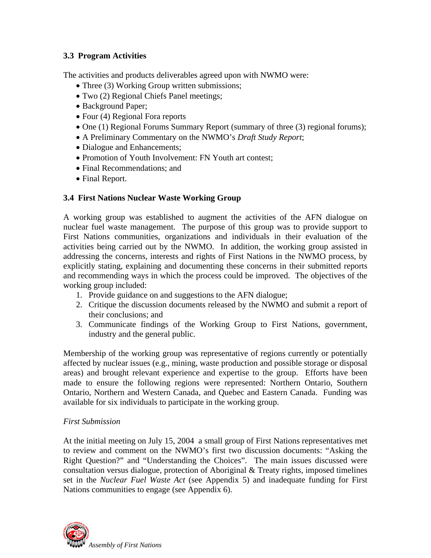#### **3.3 Program Activities**

The activities and products deliverables agreed upon with NWMO were:

- Three (3) Working Group written submissions;
- Two (2) Regional Chiefs Panel meetings;
- Background Paper;
- Four (4) Regional Fora reports
- One (1) Regional Forums Summary Report (summary of three (3) regional forums);
- A Preliminary Commentary on the NWMO's *Draft Study Report*;
- Dialogue and Enhancements;
- Promotion of Youth Involvement: FN Youth art contest:
- Final Recommendations; and
- Final Report.

#### **3.4 First Nations Nuclear Waste Working Group**

A working group was established to augment the activities of the AFN dialogue on nuclear fuel waste management. The purpose of this group was to provide support to First Nations communities, organizations and individuals in their evaluation of the activities being carried out by the NWMO. In addition, the working group assisted in addressing the concerns, interests and rights of First Nations in the NWMO process, by explicitly stating, explaining and documenting these concerns in their submitted reports and recommending ways in which the process could be improved. The objectives of the working group included:

- 1. Provide guidance on and suggestions to the AFN dialogue;
- 2. Critique the discussion documents released by the NWMO and submit a report of their conclusions; and
- 3. Communicate findings of the Working Group to First Nations, government, industry and the general public.

Membership of the working group was representative of regions currently or potentially affected by nuclear issues (e.g., mining, waste production and possible storage or disposal areas) and brought relevant experience and expertise to the group. Efforts have been made to ensure the following regions were represented: Northern Ontario, Southern Ontario, Northern and Western Canada, and Quebec and Eastern Canada. Funding was available for six individuals to participate in the working group.

#### *First Submission*

At the initial meeting on July 15, 2004 a small group of First Nations representatives met to review and comment on the NWMO's first two discussion documents: "Asking the Right Question?" and "Understanding the Choices". The main issues discussed were consultation versus dialogue, protection of Aboriginal & Treaty rights, imposed timelines set in the *Nuclear Fuel Waste Act* (see Appendix 5) and inadequate funding for First Nations communities to engage (see Appendix 6).

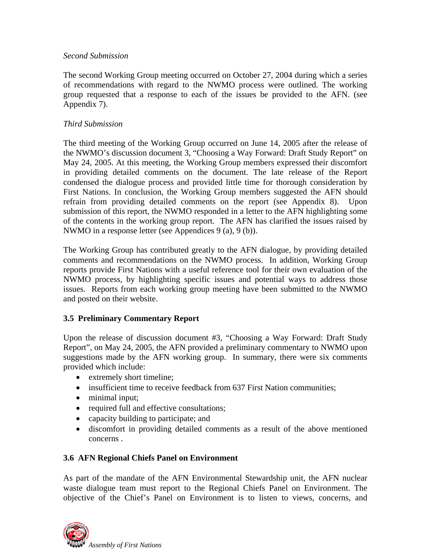#### *Second Submission*

The second Working Group meeting occurred on October 27, 2004 during which a series of recommendations with regard to the NWMO process were outlined. The working group requested that a response to each of the issues be provided to the AFN. (see Appendix 7).

#### *Third Submission*

The third meeting of the Working Group occurred on June 14, 2005 after the release of the NWMO's discussion document 3, "Choosing a Way Forward: Draft Study Report" on May 24, 2005. At this meeting, the Working Group members expressed their discomfort in providing detailed comments on the document. The late release of the Report condensed the dialogue process and provided little time for thorough consideration by First Nations. In conclusion, the Working Group members suggested the AFN should refrain from providing detailed comments on the report (see Appendix 8). Upon submission of this report, the NWMO responded in a letter to the AFN highlighting some of the contents in the working group report. The AFN has clarified the issues raised by NWMO in a response letter (see Appendices 9 (a), 9 (b)).

The Working Group has contributed greatly to the AFN dialogue, by providing detailed comments and recommendations on the NWMO process. In addition, Working Group reports provide First Nations with a useful reference tool for their own evaluation of the NWMO process, by highlighting specific issues and potential ways to address those issues. Reports from each working group meeting have been submitted to the NWMO and posted on their website.

#### **3.5 Preliminary Commentary Report**

Upon the release of discussion document #3, "Choosing a Way Forward: Draft Study Report", on May 24, 2005, the AFN provided a preliminary commentary to NWMO upon suggestions made by the AFN working group. In summary, there were six comments provided which include:

- extremely short timeline;
- insufficient time to receive feedback from 637 First Nation communities;
- minimal input;
- required full and effective consultations;
- capacity building to participate; and
- discomfort in providing detailed comments as a result of the above mentioned concerns .

#### **3.6 AFN Regional Chiefs Panel on Environment**

As part of the mandate of the AFN Environmental Stewardship unit, the AFN nuclear waste dialogue team must report to the Regional Chiefs Panel on Environment. The objective of the Chief's Panel on Environment is to listen to views, concerns, and

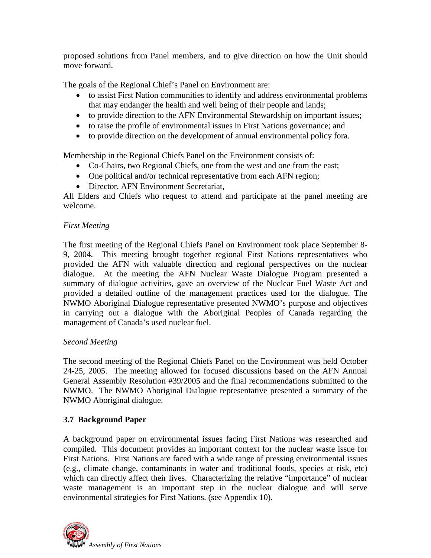proposed solutions from Panel members, and to give direction on how the Unit should move forward.

The goals of the Regional Chief's Panel on Environment are:

- to assist First Nation communities to identify and address environmental problems that may endanger the health and well being of their people and lands;
- to provide direction to the AFN Environmental Stewardship on important issues;
- to raise the profile of environmental issues in First Nations governance; and
- to provide direction on the development of annual environmental policy fora.

Membership in the Regional Chiefs Panel on the Environment consists of:

- Co-Chairs, two Regional Chiefs, one from the west and one from the east;
- One political and/or technical representative from each AFN region;
- Director, AFN Environment Secretariat,

All Elders and Chiefs who request to attend and participate at the panel meeting are welcome.

#### *First Meeting*

The first meeting of the Regional Chiefs Panel on Environment took place September 8- 9, 2004. This meeting brought together regional First Nations representatives who provided the AFN with valuable direction and regional perspectives on the nuclear dialogue. At the meeting the AFN Nuclear Waste Dialogue Program presented a summary of dialogue activities, gave an overview of the Nuclear Fuel Waste Act and provided a detailed outline of the management practices used for the dialogue. The NWMO Aboriginal Dialogue representative presented NWMO's purpose and objectives in carrying out a dialogue with the Aboriginal Peoples of Canada regarding the management of Canada's used nuclear fuel.

#### *Second Meeting*

The second meeting of the Regional Chiefs Panel on the Environment was held October 24-25, 2005. The meeting allowed for focused discussions based on the AFN Annual General Assembly Resolution #39/2005 and the final recommendations submitted to the NWMO. The NWMO Aboriginal Dialogue representative presented a summary of the NWMO Aboriginal dialogue.

## **3.7 Background Paper**

A background paper on environmental issues facing First Nations was researched and compiled. This document provides an important context for the nuclear waste issue for First Nations. First Nations are faced with a wide range of pressing environmental issues (e.g., climate change, contaminants in water and traditional foods, species at risk, etc) which can directly affect their lives. Characterizing the relative "importance" of nuclear waste management is an important step in the nuclear dialogue and will serve environmental strategies for First Nations. (see Appendix 10).

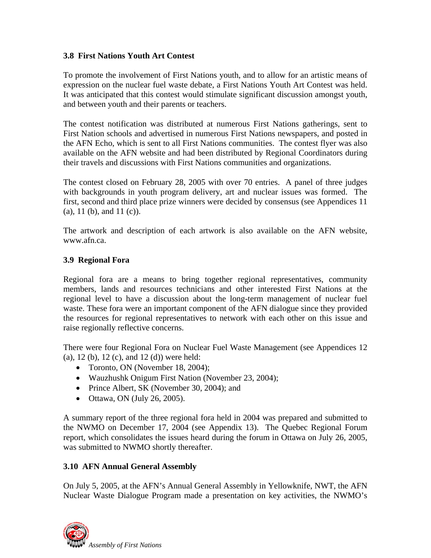#### **3.8 First Nations Youth Art Contest**

To promote the involvement of First Nations youth, and to allow for an artistic means of expression on the nuclear fuel waste debate, a First Nations Youth Art Contest was held. It was anticipated that this contest would stimulate significant discussion amongst youth, and between youth and their parents or teachers.

The contest notification was distributed at numerous First Nations gatherings, sent to First Nation schools and advertised in numerous First Nations newspapers, and posted in the AFN Echo, which is sent to all First Nations communities. The contest flyer was also available on the AFN website and had been distributed by Regional Coordinators during their travels and discussions with First Nations communities and organizations.

The contest closed on February 28, 2005 with over 70 entries. A panel of three judges with backgrounds in youth program delivery, art and nuclear issues was formed. The first, second and third place prize winners were decided by consensus (see Appendices 11 (a), 11 (b), and 11 (c)).

The artwork and description of each artwork is also available on the AFN website, www.afn.ca.

#### **3.9 Regional Fora**

Regional fora are a means to bring together regional representatives, community members, lands and resources technicians and other interested First Nations at the regional level to have a discussion about the long-term management of nuclear fuel waste. These fora were an important component of the AFN dialogue since they provided the resources for regional representatives to network with each other on this issue and raise regionally reflective concerns.

There were four Regional Fora on Nuclear Fuel Waste Management (see Appendices 12 (a), 12 (b), 12 (c), and 12 (d)) were held:

- Toronto, ON (November 18, 2004);
- Wauzhushk Onigum First Nation (November 23, 2004);
- Prince Albert, SK (November 30, 2004); and
- Ottawa, ON (July 26, 2005).

A summary report of the three regional fora held in 2004 was prepared and submitted to the NWMO on December 17, 2004 (see Appendix 13). The Quebec Regional Forum report, which consolidates the issues heard during the forum in Ottawa on July 26, 2005, was submitted to NWMO shortly thereafter.

#### **3.10 AFN Annual General Assembly**

On July 5, 2005, at the AFN's Annual General Assembly in Yellowknife, NWT, the AFN Nuclear Waste Dialogue Program made a presentation on key activities, the NWMO's

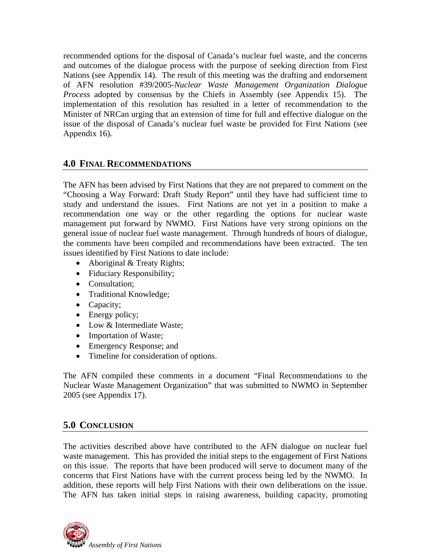recommended options for the disposal of Canada's nuclear fuel waste, and the concerns and outcomes of the dialogue process with the purpose of seeking direction from First Nations (see Appendix 14). The result of this meeting was the drafting and endorsement of AFN resolution #39/2005-*Nuclear Waste Management Organization Dialogue Process* adopted by consensus by the Chiefs in Assembly (see Appendix 15). The implementation of this resolution has resulted in a letter of recommendation to the Minister of NRCan urging that an extension of time for full and effective dialogue on the issue of the disposal of Canada's nuclear fuel waste be provided for First Nations (see Appendix 16).

#### **4.0 FINAL RECOMMENDATIONS**

The AFN has been advised by First Nations that they are not prepared to comment on the "Choosing a Way Forward: Draft Study Report" until they have had sufficient time to study and understand the issues. First Nations are not yet in a position to make a recommendation one way or the other regarding the options for nuclear waste management put forward by NWMO. First Nations have very strong opinions on the general issue of nuclear fuel waste management. Through hundreds of hours of dialogue, the comments have been compiled and recommendations have been extracted. The ten issues identified by First Nations to date include:

- Aboriginal & Treaty Rights;
- Fiduciary Responsibility;
- Consultation:
- Traditional Knowledge;
- Capacity;
- Energy policy;
- Low & Intermediate Waste;
- Importation of Waste;
- Emergency Response; and
- Timeline for consideration of options.

The AFN compiled these comments in a document "Final Recommendations to the Nuclear Waste Management Organization" that was submitted to NWMO in September 2005 (see Appendix 17).

# **5.0 CONCLUSION**

The activities described above have contributed to the AFN dialogue on nuclear fuel waste management. This has provided the initial steps to the engagement of First Nations on this issue. The reports that have been produced will serve to document many of the concerns that First Nations have with the current process being led by the NWMO. In addition, these reports will help First Nations with their own deliberations on the issue. The AFN has taken initial steps in raising awareness, building capacity, promoting